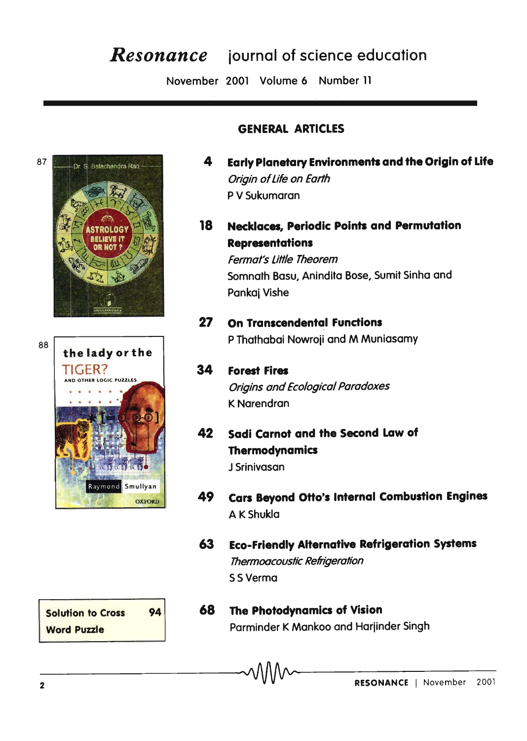## *Resonance* iournal of science education

November 2001 Volume 6 Number 11



## GENERAL ARTICLES

- 4 Early Planetary Environments and the Origin of Life Origin of life on Earth P V Sukumaran
- 18 Necklaces, Periodic Points and Permutation Representations

Fermat's little Theorem Somnath Basu, Anindita Bose, Sumit Sinha and Pankaj Vishe

- 27 On Transcendental functions 88 P Thathabai Nowroji and M Muniasamy
	- 34 forest fires Origins and Ecological Paradoxes K Narendran
	- 42 Sadi Carnot and the Second Law of **Thermodynamics** J Srinivasan
	- 49 Cars Beyond Otto's Internal Combustion Engines A KShukla
	- 63 Eco-friendly Alternative Refrigeration Systems Thermoacoustic Refrigeration SS Verma



68 The Photodynamics of Vision Parminder K Mankoo and Harjinder Singh